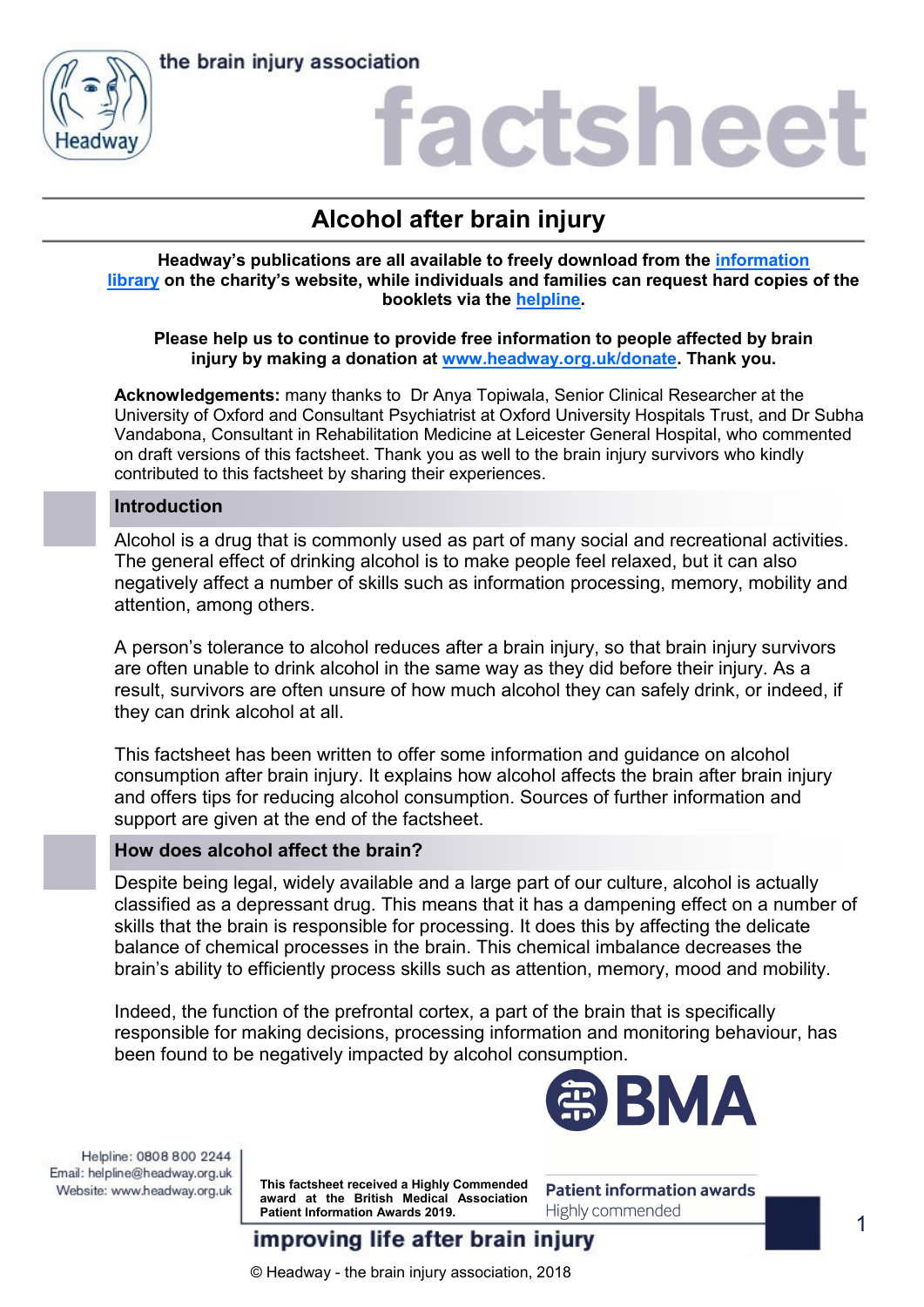



## factshee

## **Alcohol after brain injury**

**Headway's publications are all available to freely download from the [information](https://www.headway.org.uk/about-brain-injury/individuals/information-library/)  [library](https://www.headway.org.uk/about-brain-injury/individuals/information-library/) on the charity's website, while individuals and families can request hard copies of the booklets via the [helpline.](https://www.headway.org.uk/supporting-you/helpline/)**

## **Please help us to continue to provide free information to people affected by brain injury by making a donation at [www.headway.org.uk/donate.](http://www.headway.org.uk/donate) Thank you.**

**Acknowledgements:** many thanks to Dr Anya Topiwala, Senior Clinical Researcher at the University of Oxford and Consultant Psychiatrist at Oxford University Hospitals Trust, and Dr Subha Vandabona, Consultant in Rehabilitation Medicine at Leicester General Hospital, who commented on draft versions of this factsheet. Thank you as well to the brain injury survivors who kindly contributed to this factsheet by sharing their experiences.

## **Introduction**

Alcohol is a drug that is commonly used as part of many social and recreational activities. The general effect of drinking alcohol is to make people feel relaxed, but it can also negatively affect a number of skills such as information processing, memory, mobility and attention, among others.

A person's tolerance to alcohol reduces after a brain injury, so that brain injury survivors are often unable to drink alcohol in the same way as they did before their injury. As a result, survivors are often unsure of how much alcohol they can safely drink, or indeed, if they can drink alcohol at all.

This factsheet has been written to offer some information and guidance on alcohol consumption after brain injury. It explains how alcohol affects the brain after brain injury and offers tips for reducing alcohol consumption. Sources of further information and support are given at the end of the factsheet.

## **How does alcohol affect the brain?**

Despite being legal, widely available and a large part of our culture, alcohol is actually classified as a depressant drug. This means that it has a dampening effect on a number of skills that the brain is responsible for processing. It does this by affecting the delicate balance of chemical processes in the brain. This chemical imbalance decreases the brain's ability to efficiently process skills such as attention, memory, mood and mobility.

Indeed, the function of the prefrontal cortex, a part of the brain that is specifically responsible for making decisions, processing information and monitoring behaviour, has been found to be negatively impacted by alcohol consumption.



Helpline: 0808 800 2244 Email: helpline@headway.org.uk Website: www.headway.org.uk

**This factsheet received a Highly Commended award at the British Medical Association Patient Information Awards 2019.** 

**Patient information awards** Highly commended

improving life after brain injury

© Headway - the brain injury association, 2018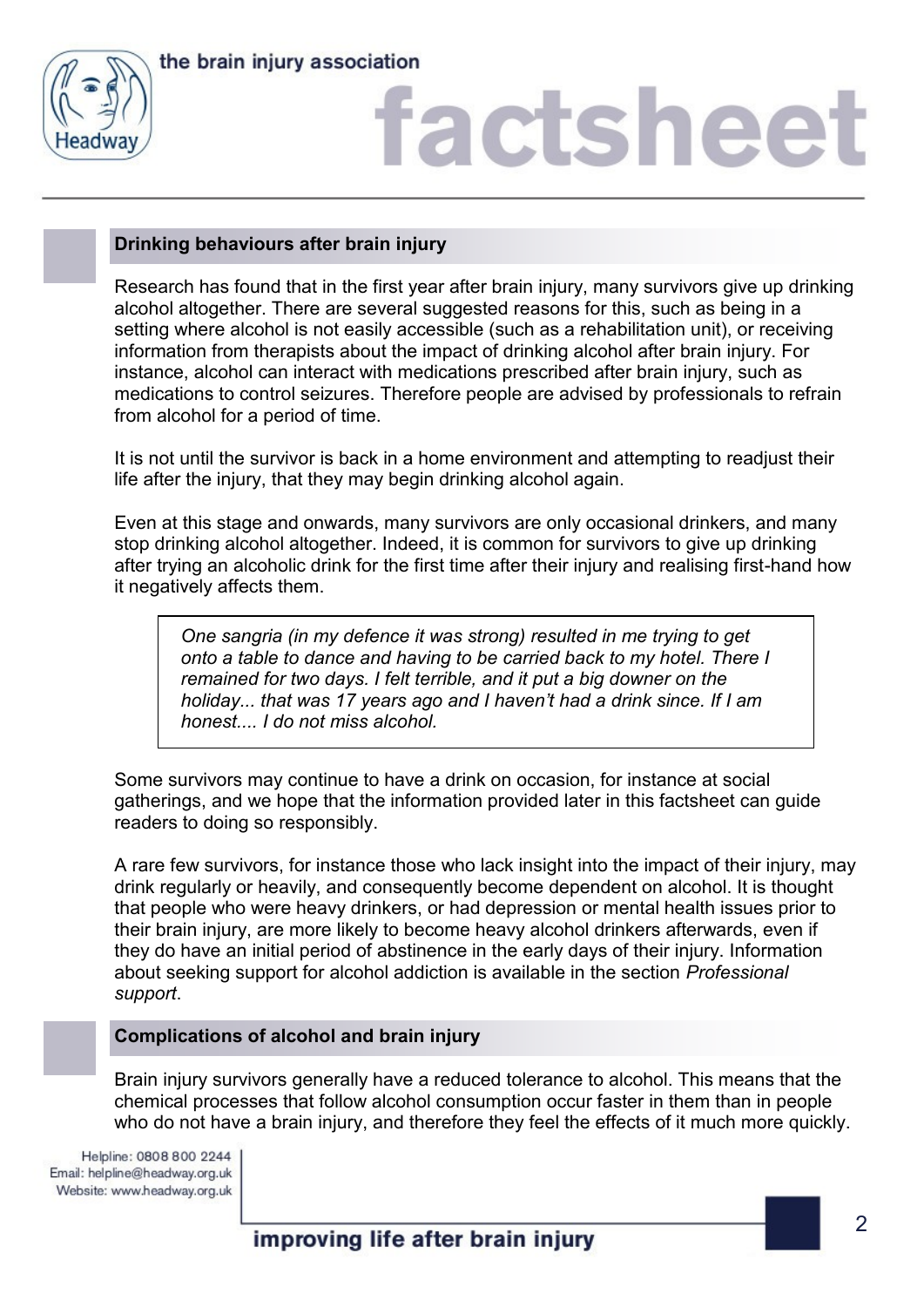

# factshee<sup>®</sup>

## **Drinking behaviours after brain injury**

Research has found that in the first year after brain injury, many survivors give up drinking alcohol altogether. There are several suggested reasons for this, such as being in a setting where alcohol is not easily accessible (such as a rehabilitation unit), or receiving information from therapists about the impact of drinking alcohol after brain injury. For instance, alcohol can interact with medications prescribed after brain injury, such as medications to control seizures. Therefore people are advised by professionals to refrain from alcohol for a period of time.

It is not until the survivor is back in a home environment and attempting to readjust their life after the injury, that they may begin drinking alcohol again.

Even at this stage and onwards, many survivors are only occasional drinkers, and many stop drinking alcohol altogether. Indeed, it is common for survivors to give up drinking after trying an alcoholic drink for the first time after their injury and realising first-hand how it negatively affects them.

*One sangria (in my defence it was strong) resulted in me trying to get onto a table to dance and having to be carried back to my hotel. There I remained for two days. I felt terrible, and it put a big downer on the holiday... that was 17 years ago and I haven't had a drink since. If I am honest.... I do not miss alcohol.*

Some survivors may continue to have a drink on occasion, for instance at social gatherings, and we hope that the information provided later in this factsheet can guide readers to doing so responsibly.

A rare few survivors, for instance those who lack insight into the impact of their injury, may drink regularly or heavily, and consequently become dependent on alcohol. It is thought that people who were heavy drinkers, or had depression or mental health issues prior to their brain injury, are more likely to become heavy alcohol drinkers afterwards, even if they do have an initial period of abstinence in the early days of their injury. Information about seeking support for alcohol addiction is available in the section *Professional support*.

## **Complications of alcohol and brain injury**

Brain injury survivors generally have a reduced tolerance to alcohol. This means that the chemical processes that follow alcohol consumption occur faster in them than in people who do not have a brain injury, and therefore they feel the effects of it much more quickly.

Helpline: 0808 800 2244 Email: helpline@headway.org.uk Website: www.headway.org.uk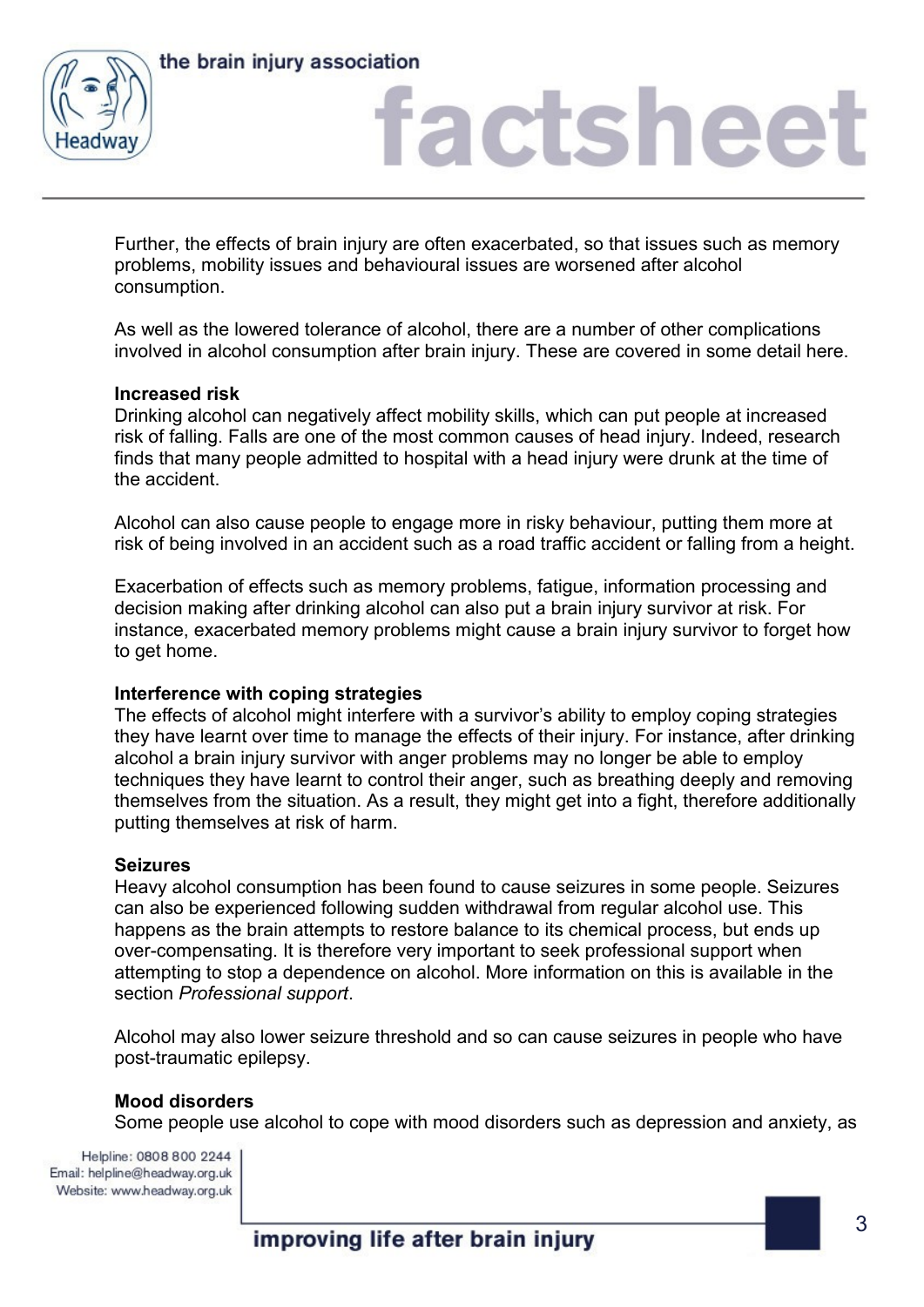



# factsheet

Further, the effects of brain injury are often exacerbated, so that issues such as memory problems, mobility issues and behavioural issues are worsened after alcohol consumption.

As well as the lowered tolerance of alcohol, there are a number of other complications involved in alcohol consumption after brain injury. These are covered in some detail here.

## **Increased risk**

Drinking alcohol can negatively affect mobility skills, which can put people at increased risk of falling. Falls are one of the most common causes of head injury. Indeed, research finds that many people admitted to hospital with a head injury were drunk at the time of the accident.

Alcohol can also cause people to engage more in risky behaviour, putting them more at risk of being involved in an accident such as a road traffic accident or falling from a height.

Exacerbation of effects such as memory problems, fatigue, information processing and decision making after drinking alcohol can also put a brain injury survivor at risk. For instance, exacerbated memory problems might cause a brain injury survivor to forget how to get home.

## **Interference with coping strategies**

The effects of alcohol might interfere with a survivor's ability to employ coping strategies they have learnt over time to manage the effects of their injury. For instance, after drinking alcohol a brain injury survivor with anger problems may no longer be able to employ techniques they have learnt to control their anger, such as breathing deeply and removing themselves from the situation. As a result, they might get into a fight, therefore additionally putting themselves at risk of harm.

### **Seizures**

Heavy alcohol consumption has been found to cause seizures in some people. Seizures can also be experienced following sudden withdrawal from regular alcohol use. This happens as the brain attempts to restore balance to its chemical process, but ends up over-compensating. It is therefore very important to seek professional support when attempting to stop a dependence on alcohol. More information on this is available in the section *Professional support*.

Alcohol may also lower seizure threshold and so can cause seizures in people who have post-traumatic epilepsy.

## **Mood disorders**

Some people use alcohol to cope with mood disorders such as depression and anxiety, as

Helpline: 0808 800 2244 Email: helpline@headway.org.uk Website: www.headway.org.uk

improving life after brain injury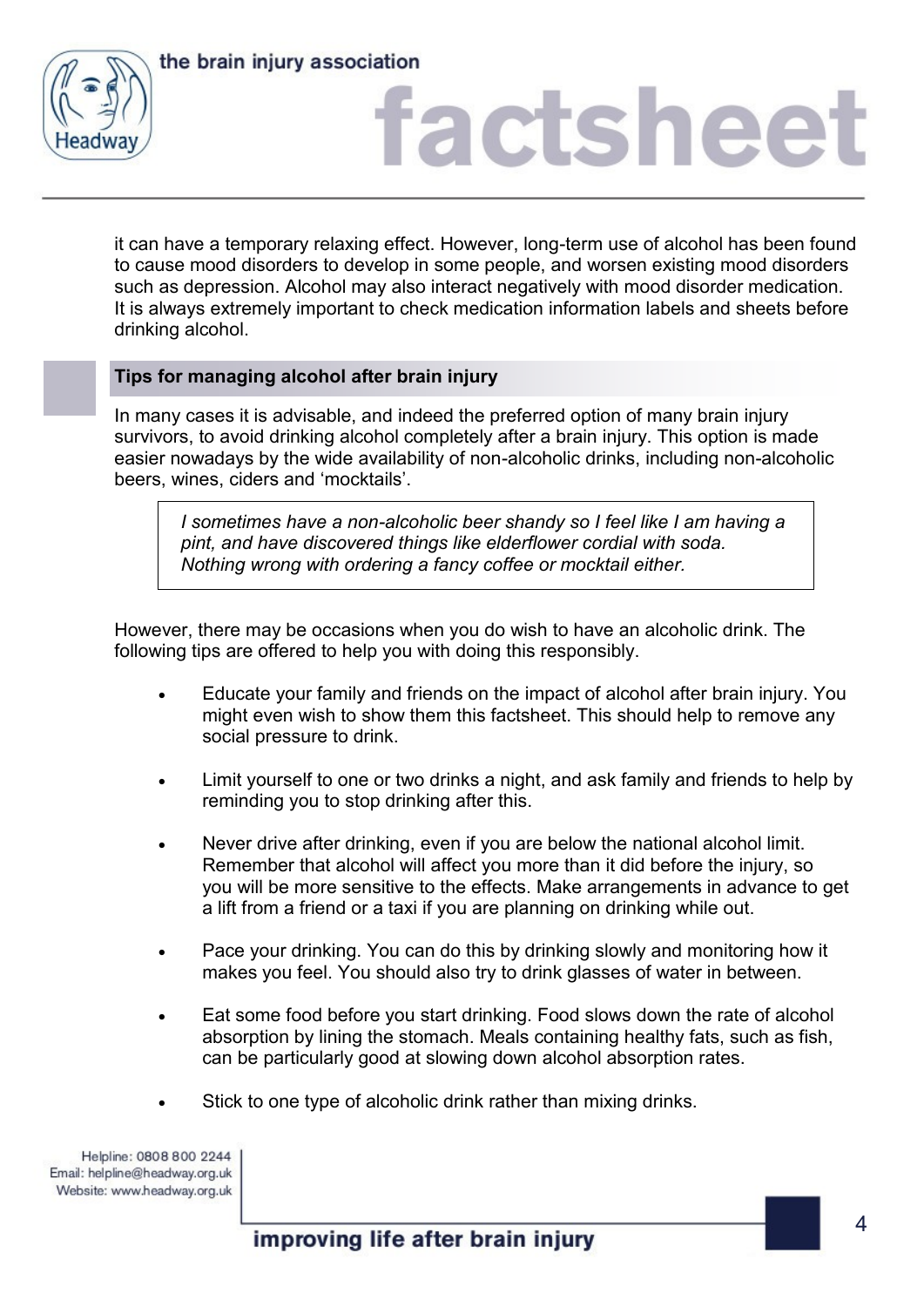

# factshee

it can have a temporary relaxing effect. However, long-term use of alcohol has been found to cause mood disorders to develop in some people, and worsen existing mood disorders such as depression. Alcohol may also interact negatively with mood disorder medication. It is always extremely important to check medication information labels and sheets before drinking alcohol.

## **Tips for managing alcohol after brain injury**

In many cases it is advisable, and indeed the preferred option of many brain injury survivors, to avoid drinking alcohol completely after a brain injury. This option is made easier nowadays by the wide availability of non-alcoholic drinks, including non-alcoholic beers, wines, ciders and 'mocktails'.

*I sometimes have a non-alcoholic beer shandy so I feel like I am having a pint, and have discovered things like elderflower cordial with soda. Nothing wrong with ordering a fancy coffee or mocktail either.*

However, there may be occasions when you do wish to have an alcoholic drink. The following tips are offered to help you with doing this responsibly.

- Educate your family and friends on the impact of alcohol after brain injury. You might even wish to show them this factsheet. This should help to remove any social pressure to drink.
- Limit yourself to one or two drinks a night, and ask family and friends to help by reminding you to stop drinking after this.
- Never drive after drinking, even if you are below the national alcohol limit. Remember that alcohol will affect you more than it did before the injury, so you will be more sensitive to the effects. Make arrangements in advance to get a lift from a friend or a taxi if you are planning on drinking while out.
- Pace your drinking. You can do this by drinking slowly and monitoring how it makes you feel. You should also try to drink glasses of water in between.
- Eat some food before you start drinking. Food slows down the rate of alcohol absorption by lining the stomach. Meals containing healthy fats, such as fish, can be particularly good at slowing down alcohol absorption rates.
- Stick to one type of alcoholic drink rather than mixing drinks.

Helpline: 0808 800 2244 Email: helpline@headway.org.uk Website: www.headway.org.uk

improving life after brain injury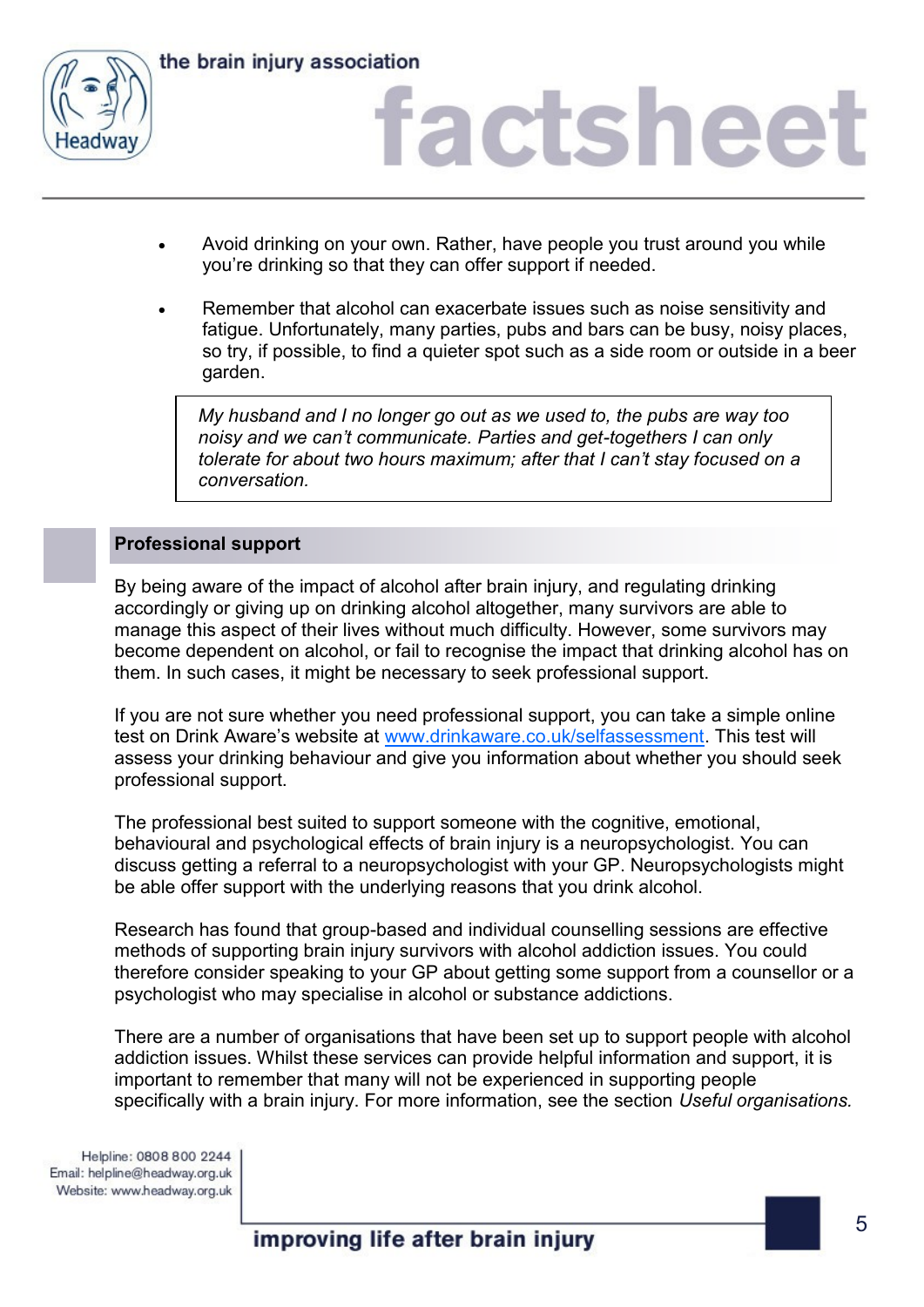

# factsheet

- Avoid drinking on your own. Rather, have people you trust around you while you're drinking so that they can offer support if needed.
- Remember that alcohol can exacerbate issues such as noise sensitivity and fatigue. Unfortunately, many parties, pubs and bars can be busy, noisy places, so try, if possible, to find a quieter spot such as a side room or outside in a beer garden.

*My husband and I no longer go out as we used to, the pubs are way too noisy and we can't communicate. Parties and get-togethers I can only tolerate for about two hours maximum; after that I can't stay focused on a conversation.* 

## **Professional support**

By being aware of the impact of alcohol after brain injury, and regulating drinking accordingly or giving up on drinking alcohol altogether, many survivors are able to manage this aspect of their lives without much difficulty. However, some survivors may become dependent on alcohol, or fail to recognise the impact that drinking alcohol has on them. In such cases, it might be necessary to seek professional support.

If you are not sure whether you need professional support, you can take a simple online test on Drink Aware's website at [www.drinkaware.co.uk/selfassessment.](http://www.drinkaware.co.uk/selfassessment) This test will assess your drinking behaviour and give you information about whether you should seek professional support.

The professional best suited to support someone with the cognitive, emotional, behavioural and psychological effects of brain injury is a neuropsychologist. You can discuss getting a referral to a neuropsychologist with your GP. Neuropsychologists might be able offer support with the underlying reasons that you drink alcohol.

Research has found that group-based and individual counselling sessions are effective methods of supporting brain injury survivors with alcohol addiction issues. You could therefore consider speaking to your GP about getting some support from a counsellor or a psychologist who may specialise in alcohol or substance addictions.

There are a number of organisations that have been set up to support people with alcohol addiction issues. Whilst these services can provide helpful information and support, it is important to remember that many will not be experienced in supporting people specifically with a brain injury. For more information, see the section *Useful organisations.*